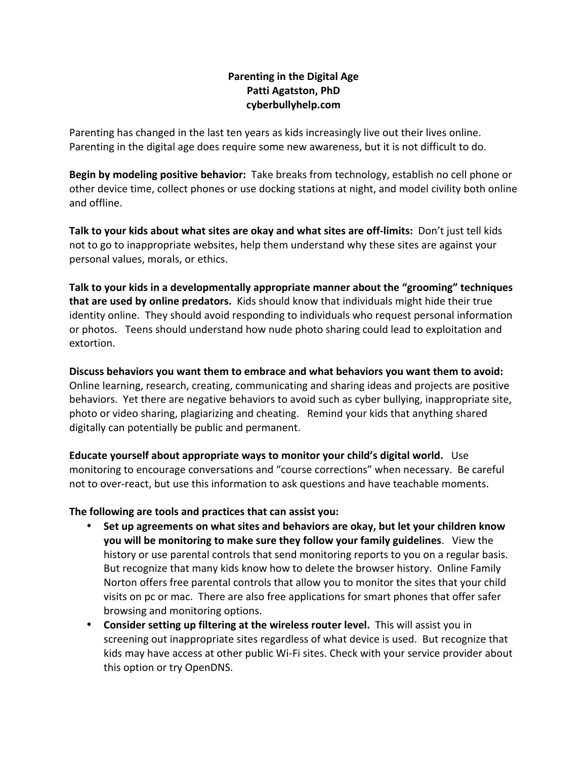## **Parenting in the Digital Age Patti Agatston, PhD cyberbullyhelp.com**

Parenting has changed in the last ten years as kids increasingly live out their lives online. Parenting in the digital age does require some new awareness, but it is not difficult to do.

**Begin by modeling positive behavior:** Take breaks from technology, establish no cell phone or other device time, collect phones or use docking stations at night, and model civility both online and offline. 

**Talk to your kids about what sites are okay and what sites are off-limits:** Don't just tell kids not to go to inappropriate websites, help them understand why these sites are against your personal values, morals, or ethics.

Talk to your kids in a developmentally appropriate manner about the "grooming" techniques **that are used by online predators.** Kids should know that individuals might hide their true identity online. They should avoid responding to individuals who request personal information or photos. Teens should understand how nude photo sharing could lead to exploitation and extortion.

Discuss behaviors you want them to embrace and what behaviors you want them to avoid: Online learning, research, creating, communicating and sharing ideas and projects are positive behaviors. Yet there are negative behaviors to avoid such as cyber bullying, inappropriate site, photo or video sharing, plagiarizing and cheating. Remind your kids that anything shared digitally can potentially be public and permanent.

**Educate yourself about appropriate ways to monitor your child's digital world.** Use monitoring to encourage conversations and "course corrections" when necessary. Be careful not to over-react, but use this information to ask questions and have teachable moments.

## The following are tools and practices that can assist you:

- Set up agreements on what sites and behaviors are okay, but let your children know **you will be monitoring to make sure they follow your family guidelines.** View the history or use parental controls that send monitoring reports to you on a regular basis. But recognize that many kids know how to delete the browser history. Online Family Norton offers free parental controls that allow you to monitor the sites that your child visits on pc or mac. There are also free applications for smart phones that offer safer browsing and monitoring options.
- Consider setting up filtering at the wireless router level. This will assist you in screening out inappropriate sites regardless of what device is used. But recognize that kids may have access at other public Wi-Fi sites. Check with your service provider about this option or try OpenDNS.